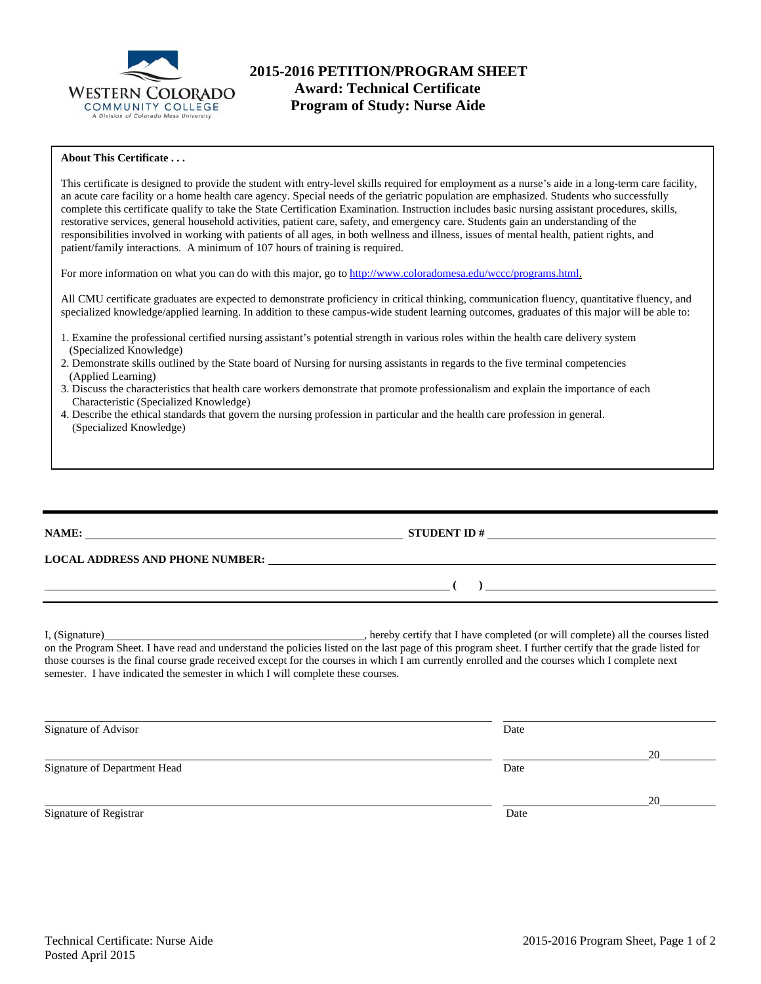

### **About This Certificate . . .**

This certificate is designed to provide the student with entry-level skills required for employment as a nurse's aide in a long-term care facility, an acute care facility or a home health care agency. Special needs of the geriatric population are emphasized. Students who successfully complete this certificate qualify to take the State Certification Examination. Instruction includes basic nursing assistant procedures, skills, restorative services, general household activities, patient care, safety, and emergency care. Students gain an understanding of the responsibilities involved in working with patients of all ages, in both wellness and illness, issues of mental health, patient rights, and patient/family interactions. A minimum of 107 hours of training is required.

For more information on what you can do with this major, go to http://www.coloradomesa.edu/wccc/programs.html.

All CMU certificate graduates are expected to demonstrate proficiency in critical thinking, communication fluency, quantitative fluency, and specialized knowledge/applied learning. In addition to these campus-wide student learning outcomes, graduates of this major will be able to:

- 1. Examine the professional certified nursing assistant's potential strength in various roles within the health care delivery system (Specialized Knowledge)
- 2. Demonstrate skills outlined by the State board of Nursing for nursing assistants in regards to the five terminal competencies (Applied Learning)
- 3. Discuss the characteristics that health care workers demonstrate that promote professionalism and explain the importance of each Characteristic (Specialized Knowledge)
- 4. Describe the ethical standards that govern the nursing profession in particular and the health care profession in general. (Specialized Knowledge)

**NAME: STUDENT ID #** 

**LOCAL ADDRESS AND PHONE NUMBER:**

I, (Signature) , hereby certify that I have completed (or will complete) all the courses listed on the Program Sheet. I have read and understand the policies listed on the last page of this program sheet. I further certify that the grade listed for those courses is the final course grade received except for the courses in which I am currently enrolled and the courses which I complete next semester. I have indicated the semester in which I will complete these courses.

| Signature of Advisor         | Date |    |
|------------------------------|------|----|
|                              |      | 20 |
| Signature of Department Head | Date |    |
|                              |      | 20 |
| Signature of Registrar       | Date |    |

 **( )**